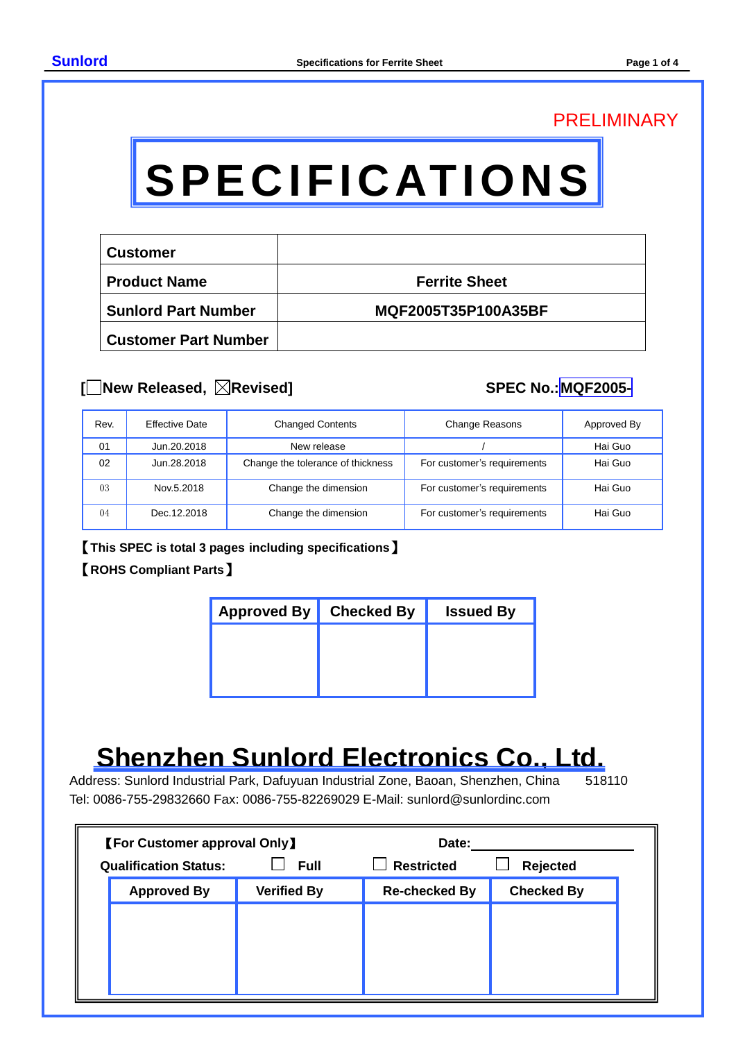### PRELIMINARY

# **SPECIFICATIONS**

| <b>Customer</b>             |                      |
|-----------------------------|----------------------|
| <b>Product Name</b>         | <b>Ferrite Sheet</b> |
| <b>Sunlord Part Number</b>  | MQF2005T35P100A35BF  |
| <b>Customer Part Number</b> |                      |

#### **[ New Released, Revised] SPEC No.:MQF2005-**

| Rev. | <b>Effective Date</b> | <b>Changed Contents</b>           | <b>Change Reasons</b>       | Approved By |
|------|-----------------------|-----------------------------------|-----------------------------|-------------|
| 01   | Jun.20.2018           | New release                       |                             | Hai Guo     |
| 02   | Jun.28.2018           | Change the tolerance of thickness | For customer's requirements | Hai Guo     |
| 03   | Nov.5.2018            | Change the dimension              | For customer's requirements | Hai Guo     |
| 04   | Dec. 12.2018          | Change the dimension              | For customer's requirements | Hai Guo     |

【**This SPEC is total 3 pages including specifications**】

#### 【**ROHS Compliant Parts**】

| Approved By   Checked By | <b>Issued By</b> |
|--------------------------|------------------|
|                          |                  |
|                          |                  |
|                          |                  |

## **Shenzhen Sunlord Electronics Co., Ltd.**<br>Iress: Sunlord Industrial Park. Dafuvuan Industrial Zone. Baoan. Shenzhen. China 518110

Address: Sunlord Industrial Park, Dafuyuan Industrial Zone, Baoan, Shenzhen, China Tel: 0086-755-29832660 Fax: 0086-755-82269029 E-Mail: sunlord@sunlordinc.com

| <b>[For Customer approval Only]</b> |                    | Date:                |                   |
|-------------------------------------|--------------------|----------------------|-------------------|
| <b>Qualification Status:</b>        | <b>Full</b>        | <b>Restricted</b>    | Rejected          |
| <b>Approved By</b>                  | <b>Verified By</b> | <b>Re-checked By</b> | <b>Checked By</b> |
|                                     |                    |                      |                   |
|                                     |                    |                      |                   |
|                                     |                    |                      |                   |
|                                     |                    |                      |                   |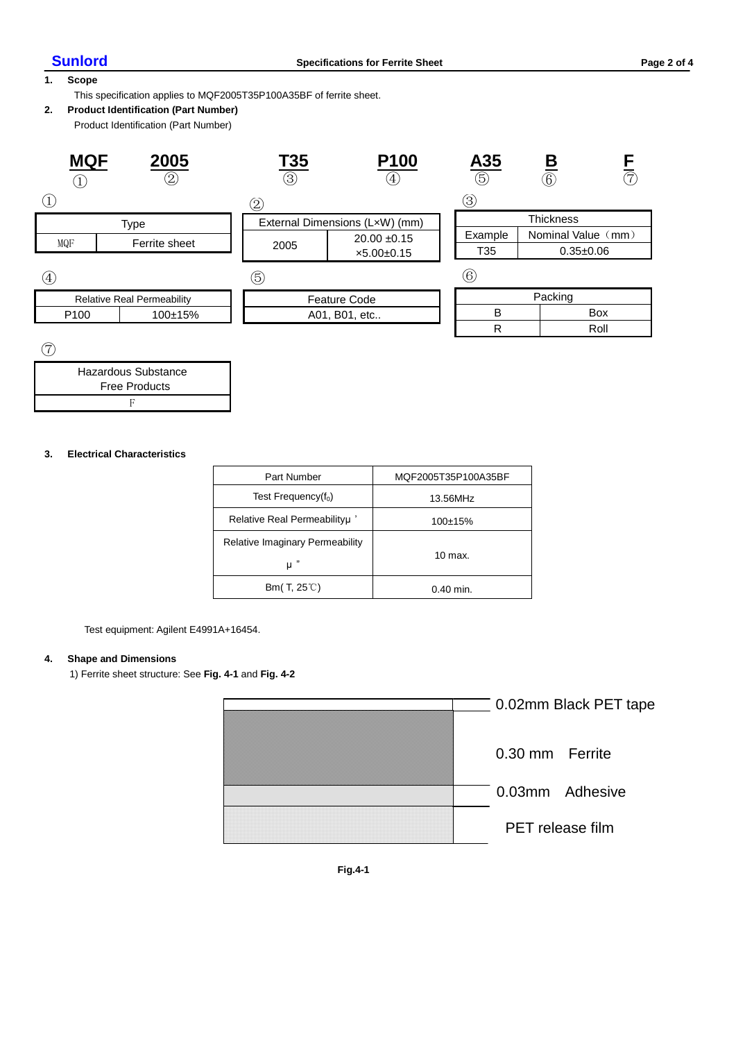#### **1. Scope**

This specification applies to MQF2005T35P100A35BF of ferrite sheet.

#### **2. Product Identification (Part Number)**

Product Identification (Part Number)

| <b>MQF</b>                        | 2005<br>$^{\copyright}$ | <u>T35</u><br>(3) | <b>P100</b><br>$\mathcal{A}_1$ | <u>A35</u><br>$\overline{\textcircled{\scriptsize{5}}}$ | B<br>$@{6}$        | $\overline{7}$ |
|-----------------------------------|-------------------------|-------------------|--------------------------------|---------------------------------------------------------|--------------------|----------------|
|                                   |                         | 2                 |                                | (3)                                                     |                    |                |
| <b>Type</b>                       |                         |                   | External Dimensions (LxW) (mm) |                                                         | <b>Thickness</b>   |                |
| MQF                               | Ferrite sheet           |                   | $20.00 \pm 0.15$               | Example                                                 | Nominal Value (mm) |                |
|                                   |                         | 2005              | $x5.00+0.15$                   | T35                                                     | $0.35 + 0.06$      |                |
| $\left( 4\right)$                 |                         | (5)               |                                | $\left( 6\right)$                                       |                    |                |
| <b>Relative Real Permeability</b> |                         |                   | <b>Feature Code</b>            |                                                         | Packing            |                |
| P <sub>100</sub>                  | $100+15%$               |                   | A01, B01, etc                  | B<br><b>Box</b>                                         |                    |                |
|                                   |                         |                   |                                | R                                                       |                    | Roll           |
| $\overline{\phantom{0}}$          |                         |                   |                                |                                                         |                    |                |

⑦

| Hazardous Substance  |  |
|----------------------|--|
| <b>Free Products</b> |  |
|                      |  |

#### **3. Electrical Characteristics**

| <b>Part Number</b>                         | MQF2005T35P100A35BF |
|--------------------------------------------|---------------------|
| Test Frequency $(f_0)$                     | 13.56MHz            |
| Relative Real Permeabilityu'               | $100+15%$           |
| Relative Imaginary Permeability<br>$\mu$ " | $10 \text{ max}$    |
| Bm(T, $25^{\circ}$ C)                      | $0.40$ min.         |

Test equipment: Agilent E4991A+16454.

#### **4. Shape and Dimensions**

1) Ferrite sheet structure: See **Fig. 4-1** and **Fig. 4-2**



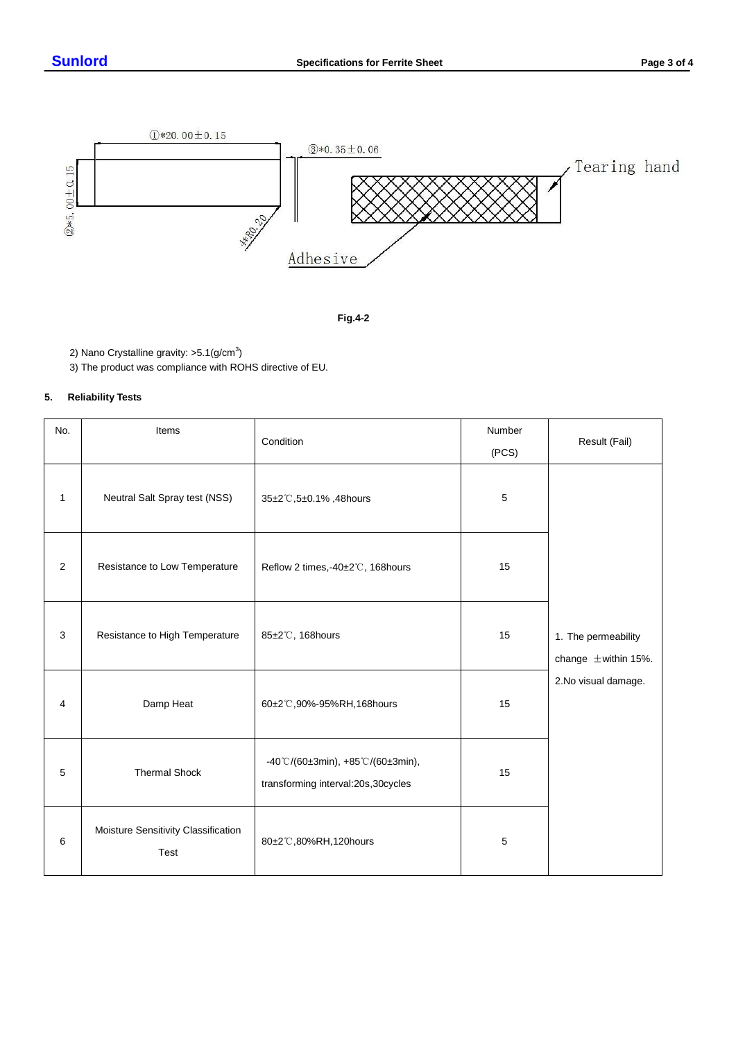



2) Nano Crystalline gravity:  $>5.1$ (g/cm<sup>3</sup>)

3) The product was compliance with ROHS directive of EU.

#### **5. Reliability Tests**

| No.          | Items                                       | Number<br>Condition                                                     |       | Result (Fail)                                   |
|--------------|---------------------------------------------|-------------------------------------------------------------------------|-------|-------------------------------------------------|
|              |                                             |                                                                         | (PCS) |                                                 |
| $\mathbf{1}$ | Neutral Salt Spray test (NSS)               | 35±2℃,5±0.1%,48hours                                                    | 5     |                                                 |
| 2            | Resistance to Low Temperature               | Reflow 2 times,-40±2°C, 168hours                                        | 15    |                                                 |
| 3            | Resistance to High Temperature              | 85±2°C, 168hours                                                        | 15    | 1. The permeability<br>change $\pm$ within 15%. |
| 4            | Damp Heat                                   | 60±2°C,90%-95%RH,168hours                                               | 15    | 2. No visual damage.                            |
| 5            | <b>Thermal Shock</b>                        | -40°C/(60±3min), +85°C/(60±3min),<br>transforming interval:20s,30cycles | 15    |                                                 |
| 6            | Moisture Sensitivity Classification<br>Test | 80±2℃,80%RH,120hours                                                    | 5     |                                                 |